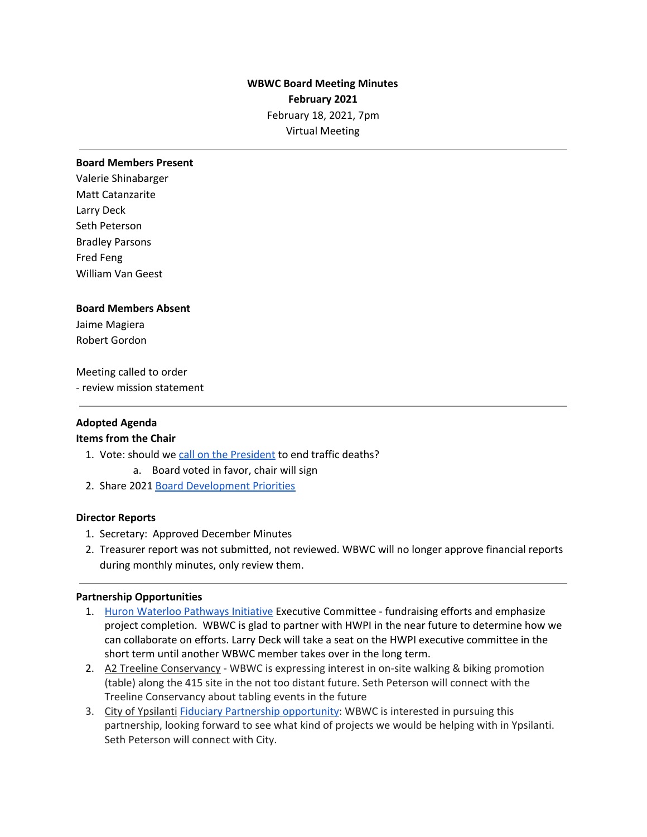# **WBWC Board Meeting Minutes February 2021** February 18, 2021, 7pm Virtual Meeting

#### **Board Members Present**

Valerie Shinabarger Matt Catanzarite Larry Deck Seth Peterson Bradley Parsons Fred Feng William Van Geest

#### **Board Members Absent**

Jaime Magiera Robert Gordon

## Meeting called to order

- review mission statement

## **Adopted Agenda**

## **Items from the Chair**

- 1. Vote: should we call on the [President](https://www.nsc.org/road/resources/road-to-zero/call-on-president-biden-to-end-traffic-fatalities#sign) to end traffic deaths?
	- a. Board voted in favor, chair will sign
- 2. Share 2021 Board [Development](https://docs.google.com/document/d/1xKVtLjrHsmOLkHSwSyGaMvZ_zWvrnMOgtC34YDSxAvQ/edit?usp=sharing) Priorities

## **Director Reports**

- 1. Secretary: Approved December Minutes
- 2. Treasurer report was not submitted, not reviewed. WBWC will no longer approve financial reports during monthly minutes, only review them.

## **Partnership Opportunities**

- 1. Huron Waterloo [Pathways](http://huron-waterloo-pathways.org/about/) Initiative Executive Committee fundraising efforts and emphasize project completion. WBWC is glad to partner with HWPI in the near future to determine how we can collaborate on efforts. Larry Deck will take a seat on the HWPI executive committee in the short term until another WBWC member takes over in the long term.
- 2. A2 Treeline Conservancy WBWC is expressing interest in on-site walking & biking promotion (table) along the 415 site in the not too distant future. Seth Peterson will connect with the Treeline Conservancy about tabling events in the future
- 3. City of Ypsilanti Fiduciary Partnership [opportunity](https://docs.google.com/document/d/1GXjxQPwdAWMTlPMkcgd1lXJdcf2t3jsgrN3tPBIgTFs/edit?usp=sharing): WBWC is interested in pursuing this partnership, looking forward to see what kind of projects we would be helping with in Ypsilanti. Seth Peterson will connect with City.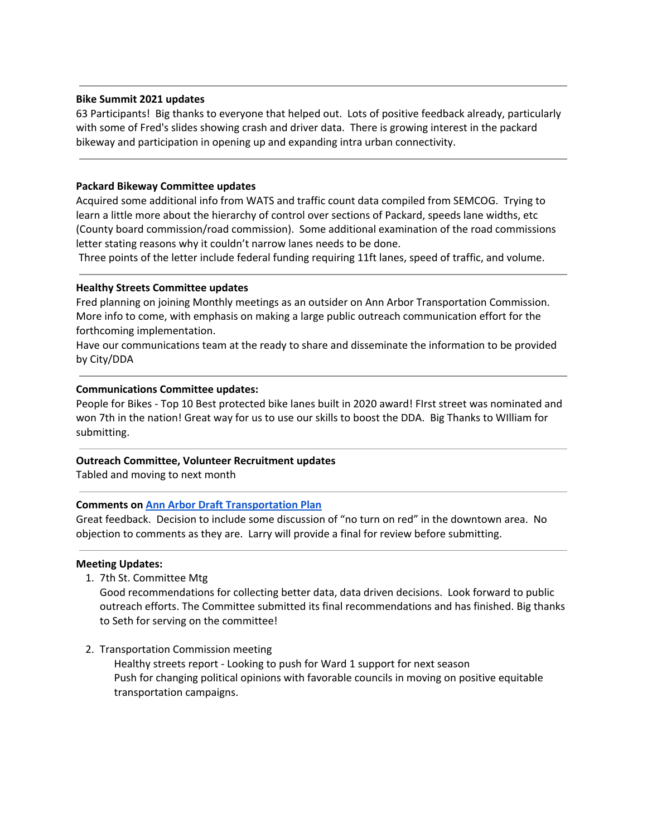# **Bike Summit 2021 updates**

63 Participants! Big thanks to everyone that helped out. Lots of positive feedback already, particularly with some of Fred's slides showing crash and driver data. There is growing interest in the packard bikeway and participation in opening up and expanding intra urban connectivity.

## **Packard Bikeway Committee updates**

Acquired some additional info from WATS and traffic count data compiled from SEMCOG. Trying to learn a little more about the hierarchy of control over sections of Packard, speeds lane widths, etc (County board commission/road commission). Some additional examination of the road commissions letter stating reasons why it couldn't narrow lanes needs to be done.

Three points of the letter include federal funding requiring 11ft lanes, speed of traffic, and volume.

## **Healthy Streets Committee updates**

Fred planning on joining Monthly meetings as an outsider on Ann Arbor Transportation Commission. More info to come, with emphasis on making a large public outreach communication effort for the forthcoming implementation.

Have our communications team at the ready to share and disseminate the information to be provided by City/DDA

## **Communications Committee updates:**

People for Bikes - Top 10 Best protected bike lanes built in 2020 award! FIrst street was nominated and won 7th in the nation! Great way for us to use our skills to boost the DDA. Big Thanks to WIlliam for submitting.

## **Outreach Committee, Volunteer Recruitment updates**

Tabled and moving to next month

# **Comments on Ann Arbor Draft [Transportation](https://www.a2gov.org/departments/engineering/Documents/Ann%20Arbor%20Moving%20Together%20Towards%20Vision%20Zero%20Draft%20Final%20PC%20V%201.pdf) Plan**

Great feedback. Decision to include some discussion of "no turn on red" in the downtown area. No objection to comments as they are. Larry will provide a final for review before submitting.

## **Meeting Updates:**

1. 7th St. Committee Mtg

Good recommendations for collecting better data, data driven decisions. Look forward to public outreach efforts. The Committee submitted its final recommendations and has finished. Big thanks to Seth for serving on the committee!

2. Transportation Commission meeting Healthy streets report - Looking to push for Ward 1 support for next season Push for changing political opinions with favorable councils in moving on positive equitable transportation campaigns.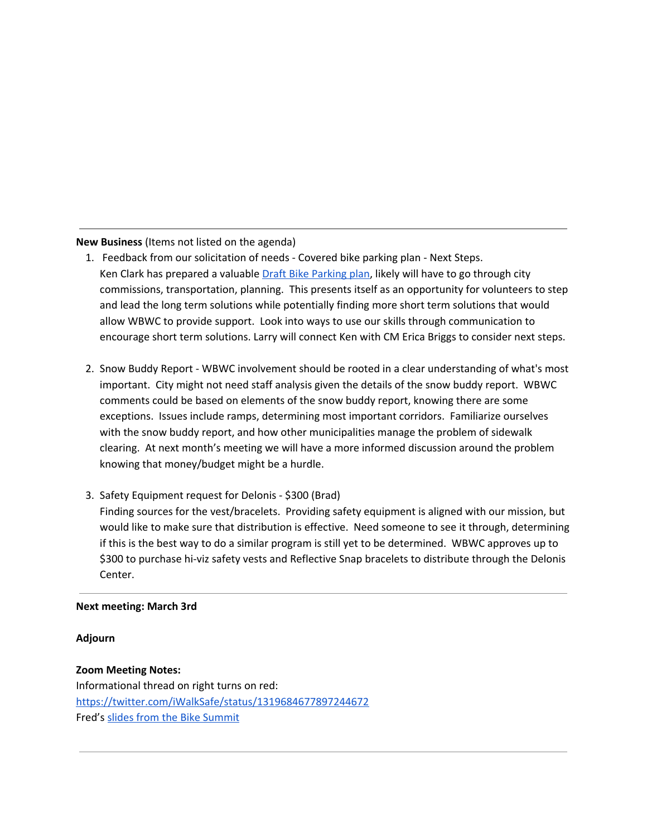**New Business** (Items not listed on the agenda)

- 1. Feedback from our solicitation of needs Covered bike parking plan Next Steps. Ken Clark has prepared a valuable **Draft Bike [Parking](https://groups.google.com/g/wbwc/c/z8keKskbSlY) plan**, likely will have to go through city commissions, transportation, planning. This presents itself as an opportunity for volunteers to step and lead the long term solutions while potentially finding more short term solutions that would allow WBWC to provide support. Look into ways to use our skills through communication to encourage short term solutions. Larry will connect Ken with CM Erica Briggs to consider next steps.
- 2. Snow Buddy Report WBWC involvement should be rooted in a clear understanding of what's most important. City might not need staff analysis given the details of the snow buddy report. WBWC comments could be based on elements of the snow buddy report, knowing there are some exceptions. Issues include ramps, determining most important corridors. Familiarize ourselves with the snow buddy report, and how other municipalities manage the problem of sidewalk clearing. At next month's meeting we will have a more informed discussion around the problem knowing that money/budget might be a hurdle.
- 3. Safety Equipment request for Delonis \$300 (Brad) Finding sources for the vest/bracelets. Providing safety equipment is aligned with our mission, but would like to make sure that distribution is effective. Need someone to see it through, determining if this is the best way to do a similar program is still yet to be determined. WBWC approves up to \$300 to purchase hi-viz safety vests and Reflective Snap bracelets to distribute through the Delonis Center.

# **Next meeting: March 3rd**

## **Adjourn**

# **Zoom Meeting Notes:** Informational thread on right turns on red: <https://twitter.com/iWalkSafe/status/1319684677897244672> Fred's slides from the Bike [Summit](https://docs.google.com/presentation/d/1t3ZhjRo-JciwVaIniZxSUTOhLl1YZGTgw7Ted_VAtjI/edit?usp=sharing)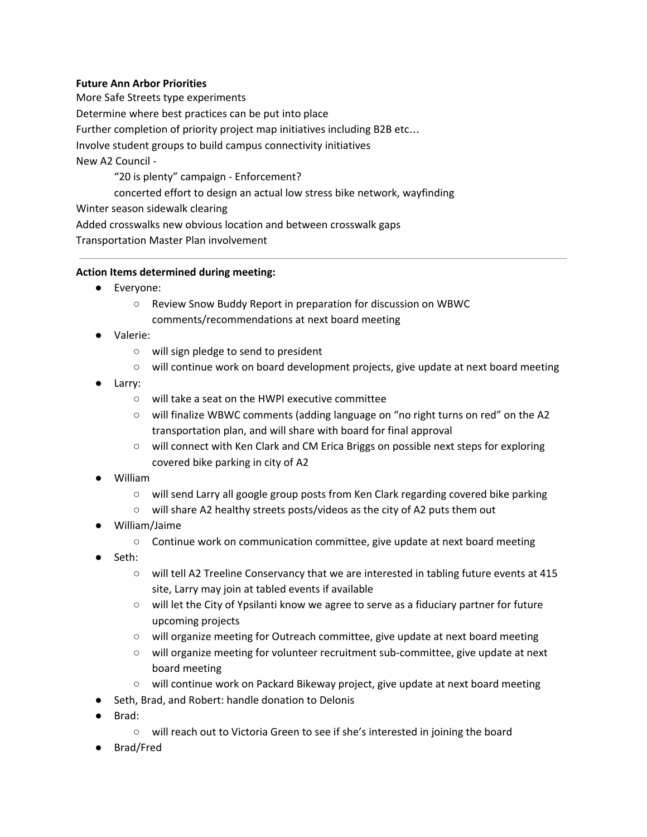# **Future Ann Arbor Priorities**

More Safe Streets type experiments Determine where best practices can be put into place Further completion of priority project map initiatives including B2B etc… Involve student groups to build campus connectivity initiatives New A2 Council - "20 is plenty" campaign - Enforcement?

concerted effort to design an actual low stress bike network, wayfinding

Winter season sidewalk clearing

Added crosswalks new obvious location and between crosswalk gaps

Transportation Master Plan involvement

# **Action Items determined during meeting:**

- Everyone:
	- Review Snow Buddy Report in preparation for discussion on WBWC comments/recommendations at next board meeting
- Valerie:
	- will sign pledge to send to president
	- $\circ$  will continue work on board development projects, give update at next board meeting
- Larry:
	- will take a seat on the HWPI executive committee
	- will finalize WBWC comments (adding language on "no right turns on red" on the A2 transportation plan, and will share with board for final approval
	- will connect with Ken Clark and CM Erica Briggs on possible next steps for exploring covered bike parking in city of A2
- William
	- will send Larry all google group posts from Ken Clark regarding covered bike parking
	- will share A2 healthy streets posts/videos as the city of A2 puts them out
- William/Jaime
	- Continue work on communication committee, give update at next board meeting
- Seth:
	- will tell A2 Treeline Conservancy that we are interested in tabling future events at 415 site, Larry may join at tabled events if available
	- will let the City of Ypsilanti know we agree to serve as a fiduciary partner for future upcoming projects
	- will organize meeting for Outreach committee, give update at next board meeting
	- will organize meeting for volunteer recruitment sub-committee, give update at next board meeting
	- will continue work on Packard Bikeway project, give update at next board meeting
- Seth, Brad, and Robert: handle donation to Delonis
- Brad:
	- will reach out to Victoria Green to see if she's interested in joining the board
- Brad/Fred